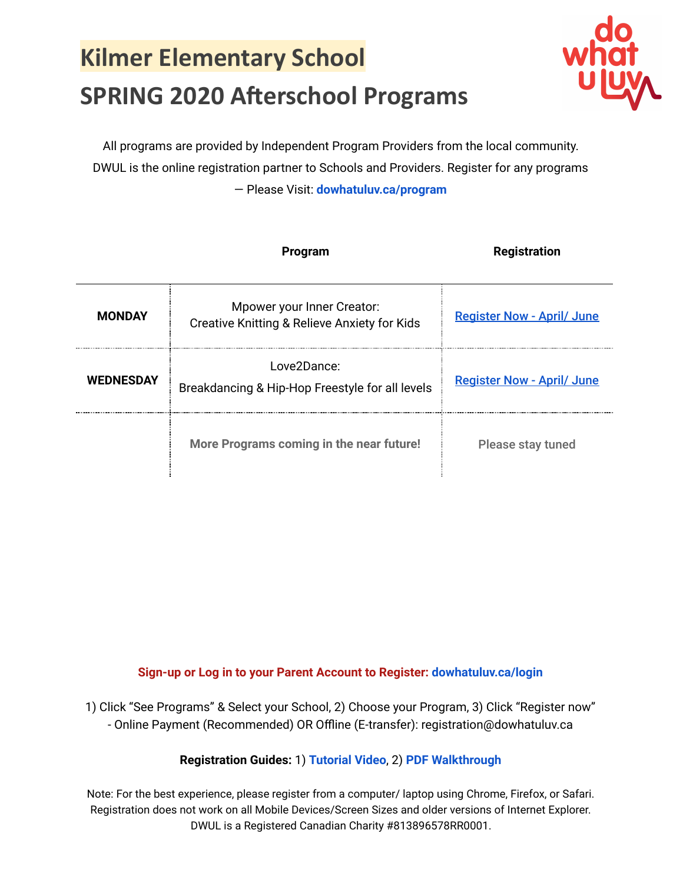## **Kilmer Elementary School SPRING 2020 Afterschool Programs**



All programs are provided by Independent Program Providers from the local community. DWUL is the online registration partner to Schools and Providers. Register for any programs — Please Visit: **[dowhatuluv.ca/program](https://dowhatuluv.ca/program)**

|                  | Program                                                                               | <b>Registration</b>               |
|------------------|---------------------------------------------------------------------------------------|-----------------------------------|
| <b>MONDAY</b>    | Mpower your Inner Creator:<br><b>Creative Knitting &amp; Relieve Anxiety for Kids</b> | <b>Register Now - April/ June</b> |
| <b>WEDNESDAY</b> | Love2Dance:<br>Breakdancing & Hip-Hop Freestyle for all levels                        | <b>Register Now - April/ June</b> |
|                  | More Programs coming in the near future!                                              | Please stay tuned                 |

**Sign-up or Log in to your Parent Account to Register: [dowhatuluv.ca/login](http://dowhatuluv.ca/login)**

1) Click "See Programs" & Select your School, 2) Choose your Program, 3) Click "Register now" - Online Payment (Recommended) OR Offline (E-transfer): registration@dowhatuluv.ca

#### **Registration Guides:** 1) **[Tutorial](https://drive.google.com/open?id=1GlEHzihCynY7f7CXmfF-t-6j-yPWcqGT) Video**, 2) **PDF [Walkthrough](https://drive.google.com/open?id=14-XG5LwvOM6TbniZUdqOZccP4PT9QEgz)**

Note: For the best experience, please register from a computer/ laptop using Chrome, Firefox, or Safari. Registration does not work on all Mobile Devices/Screen Sizes and older versions of Internet Explorer. DWUL is a Registered Canadian Charity #813896578RR0001.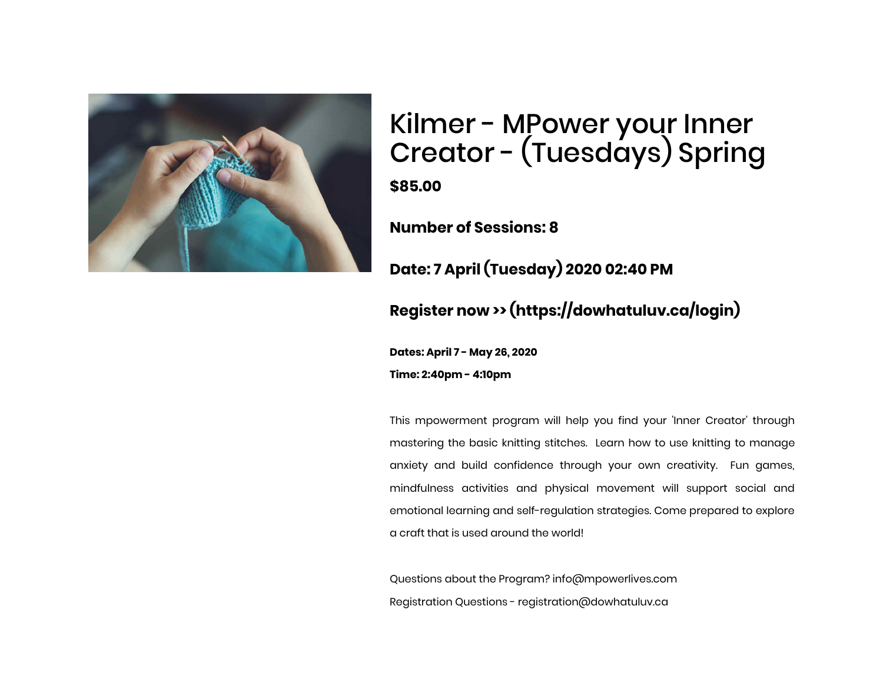

### Kilmer - MPower your Inner Creator - (Tuesdays) Spring **\$85.00**

**Number of Sessions: 8**

**Date: 7 April (Tuesday) 2020 02:40 PM**

#### **[Register now >> \(https://dowhatuluv.ca/login\)](https://dowhatuluv.ca/login)**

**Dates: April 7 - May 26, 2020 Time: 2:40pm - 4:10pm**

This mpowerment program will help you find your 'Inner Creator' through mastering the basic knitting stitches. Learn how to use knitting to manage anxiety and build confidence through your own creativity. Fun games, mindfulness activities and physical movement will support social and emotional learning and self-regulation strategies. Come prepared to explore a craft that is used around the world!

Questions about the Program? info@mpowerlives.com Registration Questions - registration@dowhatuluv.ca